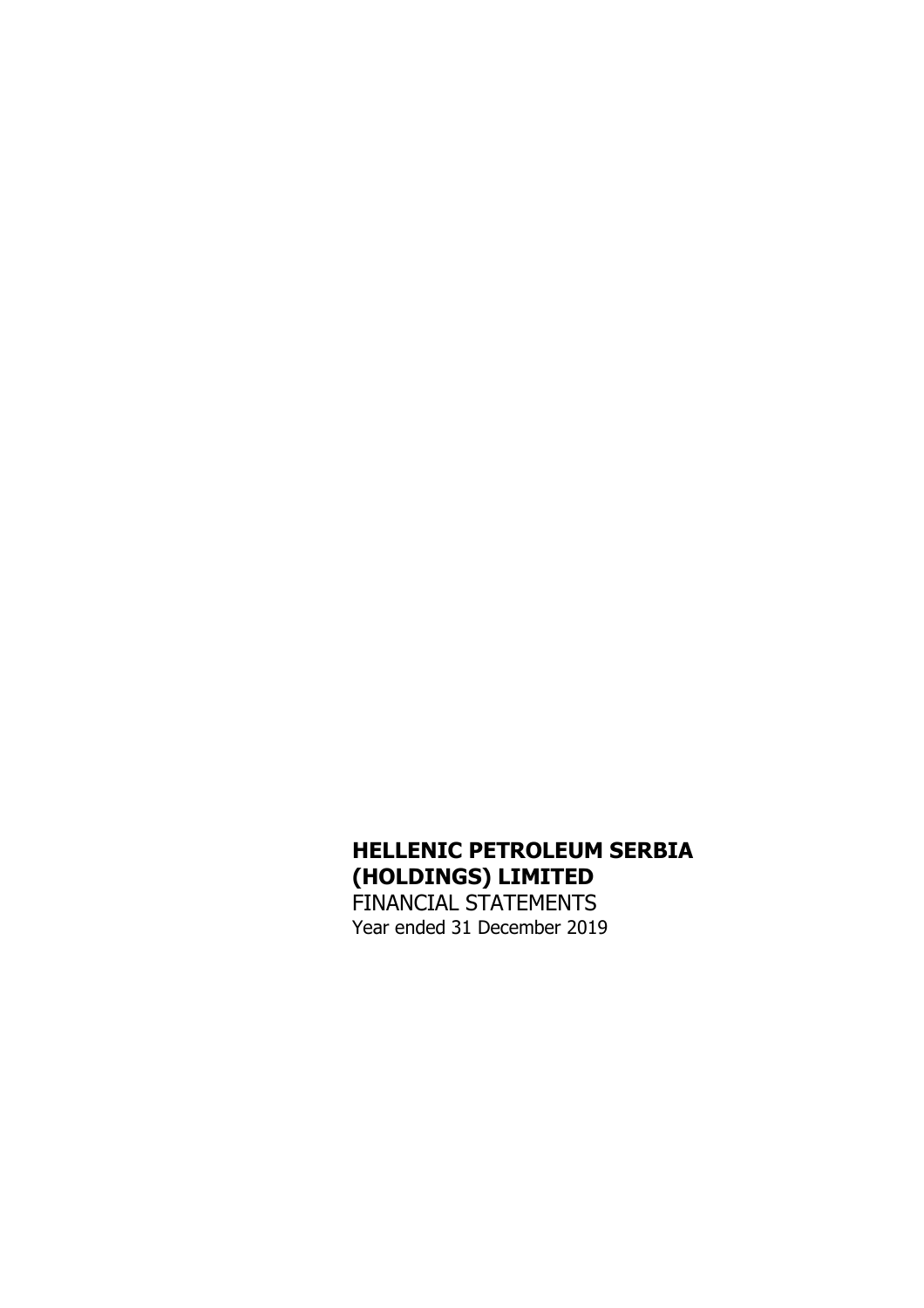# **HELLENIC PETROLEUM SERBIA (HOLDINGS) LIMITED**  FINANCIAL STATEMENTS Year ended 31 December 2019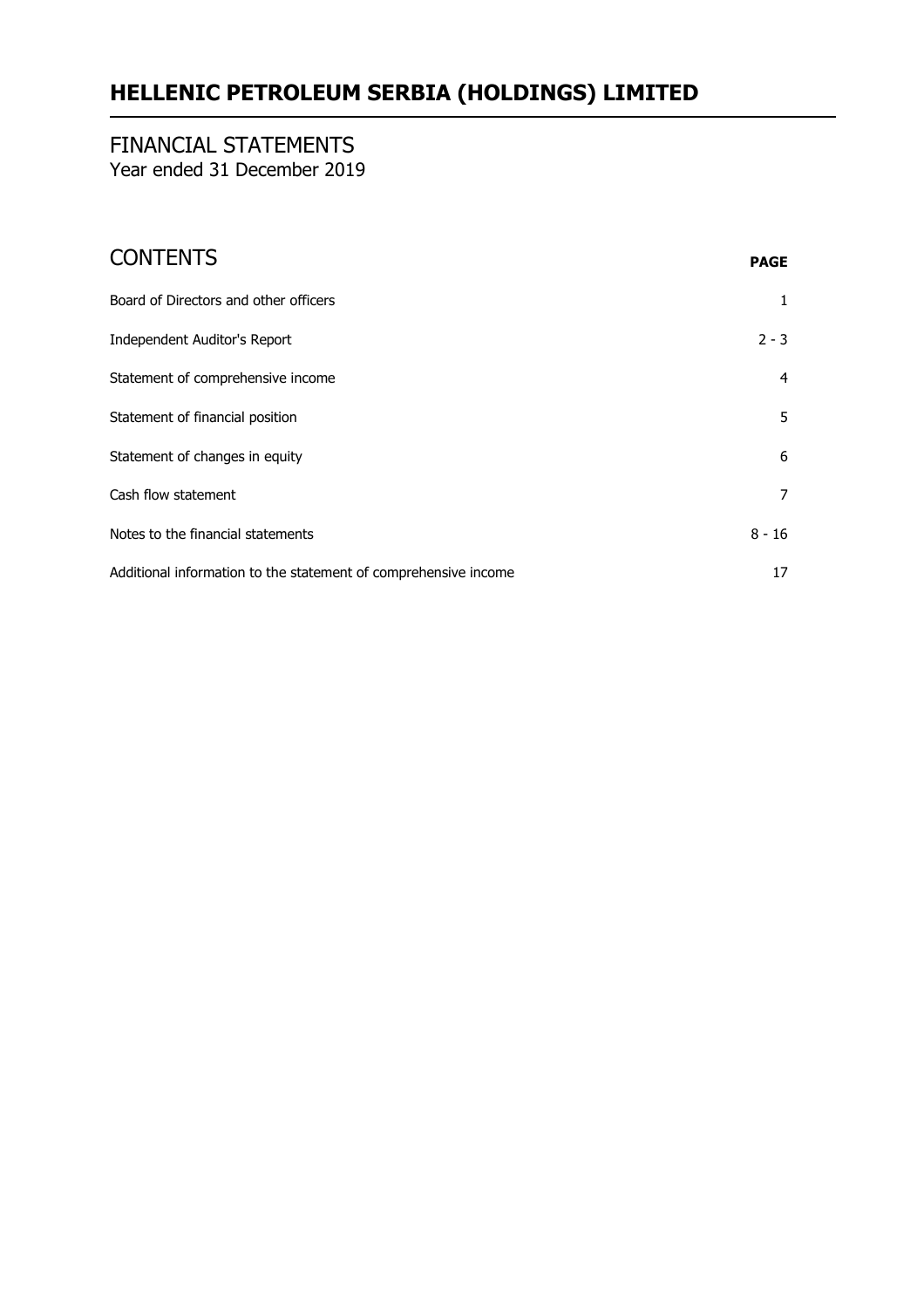# FINANCIAL STATEMENTS

Year ended 31 December 2019

# CONTENTS **PAGE**

| Board of Directors and other officers                           | 1              |
|-----------------------------------------------------------------|----------------|
| Independent Auditor's Report                                    | $2 - 3$        |
| Statement of comprehensive income                               | $\overline{4}$ |
| Statement of financial position                                 | 5              |
| Statement of changes in equity                                  | 6              |
| Cash flow statement                                             | 7              |
| Notes to the financial statements                               | $8 - 16$       |
| Additional information to the statement of comprehensive income | 17             |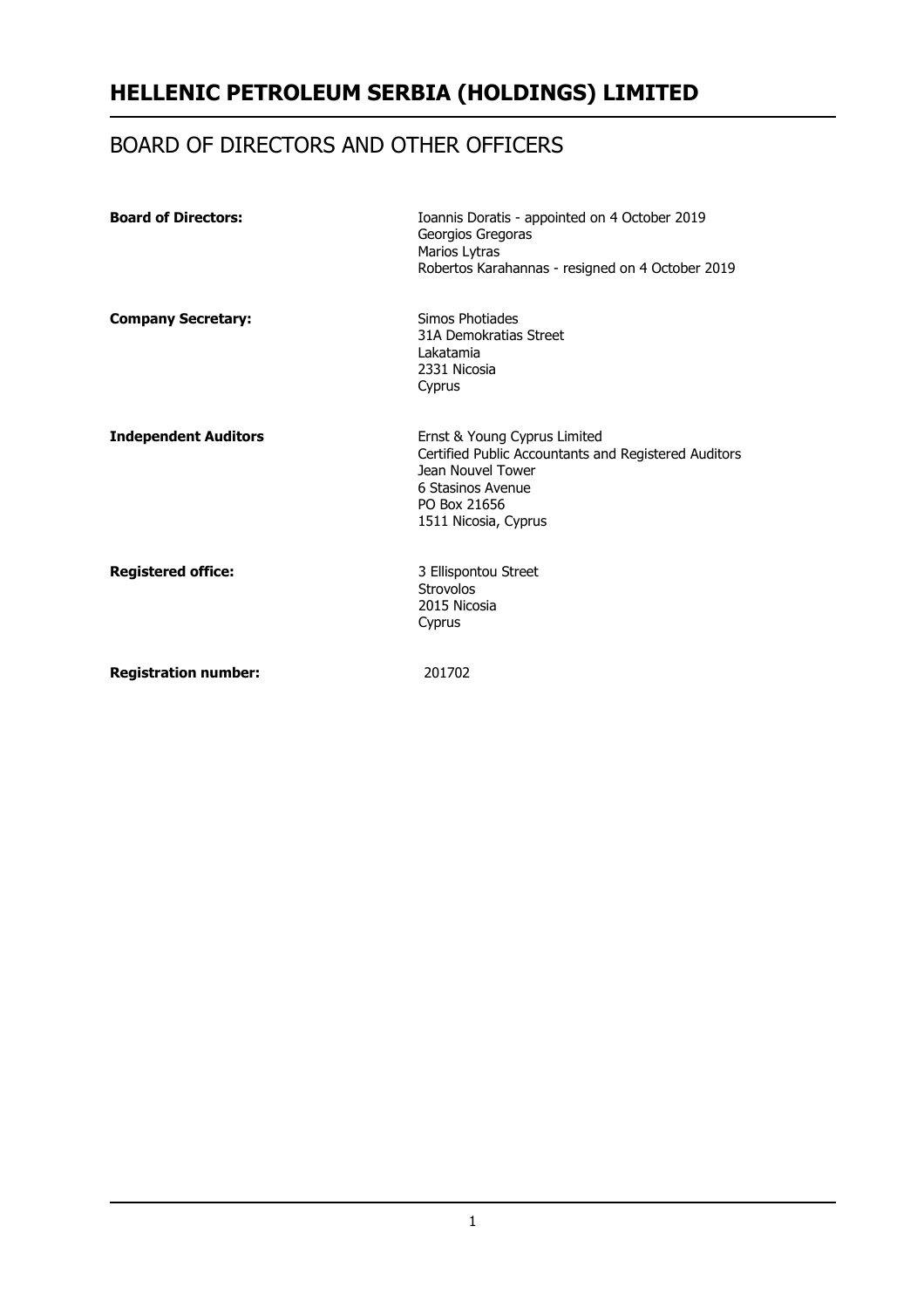# BOARD OF DIRECTORS AND OTHER OFFICERS

| <b>Board of Directors:</b>  | Ioannis Doratis - appointed on 4 October 2019<br>Georgios Gregoras<br>Marios Lytras<br>Robertos Karahannas - resigned on 4 October 2019                                |
|-----------------------------|------------------------------------------------------------------------------------------------------------------------------------------------------------------------|
| <b>Company Secretary:</b>   | Simos Photiades<br>31A Demokratias Street<br>Lakatamia<br>2331 Nicosia<br>Cyprus                                                                                       |
| <b>Independent Auditors</b> | Ernst & Young Cyprus Limited<br>Certified Public Accountants and Registered Auditors<br>Jean Nouvel Tower<br>6 Stasinos Avenue<br>PO Box 21656<br>1511 Nicosia, Cyprus |
| <b>Registered office:</b>   | 3 Ellispontou Street<br>Strovolos<br>2015 Nicosia<br>Cyprus                                                                                                            |
| <b>Registration number:</b> | 201702                                                                                                                                                                 |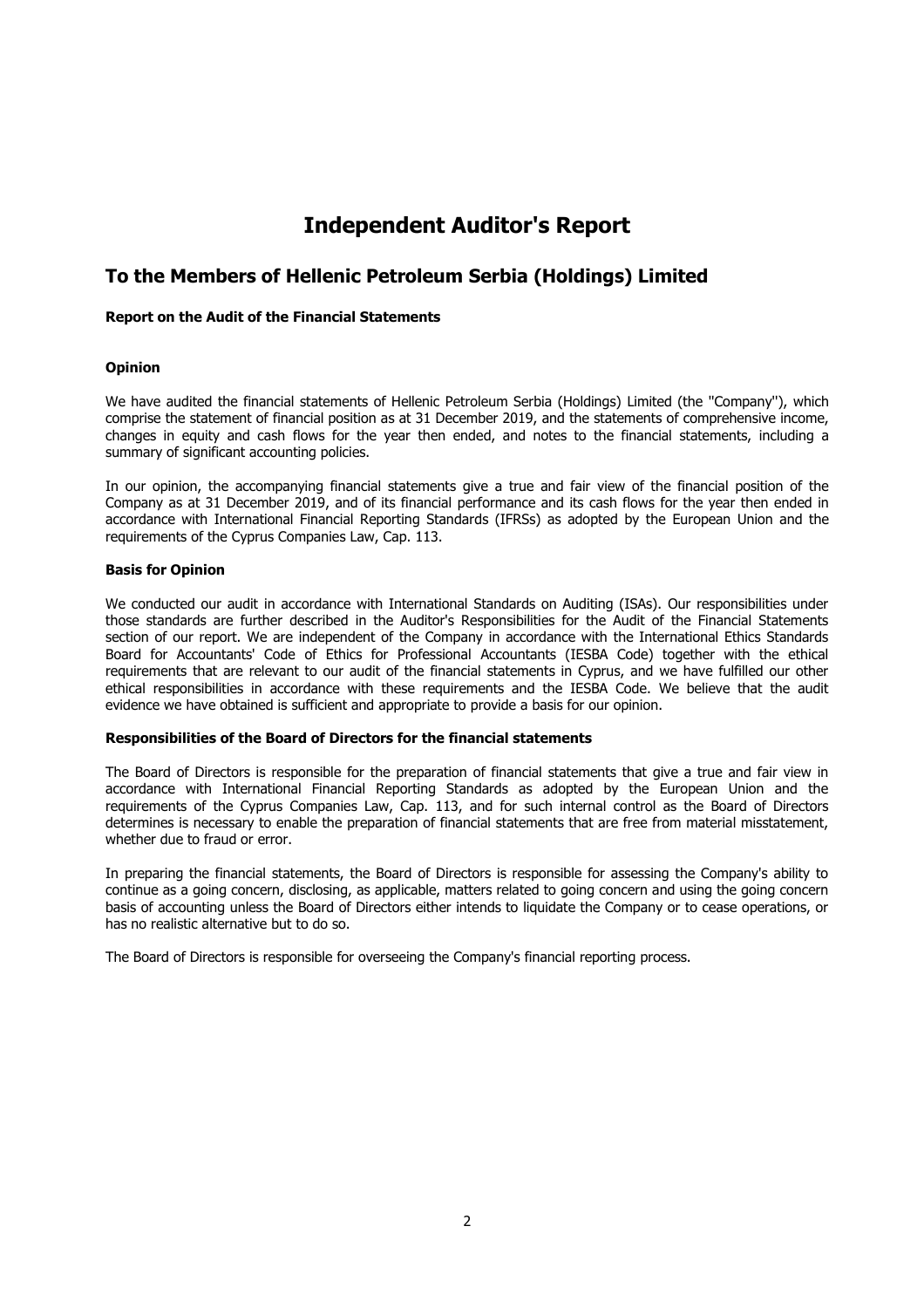# **Independent Auditor's Report**

# **To the Members of Hellenic Petroleum Serbia (Holdings) Limited**

## **Report on the Audit of the Financial Statements**

## **Opinion**

We have audited the financial statements of Hellenic Petroleum Serbia (Holdings) Limited (the ''Company''), which comprise the statement of financial position as at 31 December 2019, and the statements of comprehensive income, changes in equity and cash flows for the year then ended, and notes to the financial statements, including a summary of significant accounting policies.

In our opinion, the accompanying financial statements give a true and fair view of the financial position of the Company as at 31 December 2019, and of its financial performance and its cash flows for the year then ended in accordance with International Financial Reporting Standards (IFRSs) as adopted by the European Union and the requirements of the Cyprus Companies Law, Cap. 113.

## **Basis for Opinion**

We conducted our audit in accordance with International Standards on Auditing (ISAs). Our responsibilities under those standards are further described in the Auditor's Responsibilities for the Audit of the Financial Statements section of our report. We are independent of the Company in accordance with the International Ethics Standards Board for Accountants' Code of Ethics for Professional Accountants (IESBA Code) together with the ethical requirements that are relevant to our audit of the financial statements in Cyprus, and we have fulfilled our other ethical responsibilities in accordance with these requirements and the IESBA Code. We believe that the audit evidence we have obtained is sufficient and appropriate to provide a basis for our opinion.

## **Responsibilities of the Board of Directors for the financial statements**

The Board of Directors is responsible for the preparation of financial statements that give a true and fair view in accordance with International Financial Reporting Standards as adopted by the European Union and the requirements of the Cyprus Companies Law, Cap. 113, and for such internal control as the Board of Directors determines is necessary to enable the preparation of financial statements that are free from material misstatement, whether due to fraud or error.

In preparing the financial statements, the Board of Directors is responsible for assessing the Company's ability to continue as a going concern, disclosing, as applicable, matters related to going concern and using the going concern basis of accounting unless the Board of Directors either intends to liquidate the Company or to cease operations, or has no realistic alternative but to do so.

The Board of Directors is responsible for overseeing the Company's financial reporting process.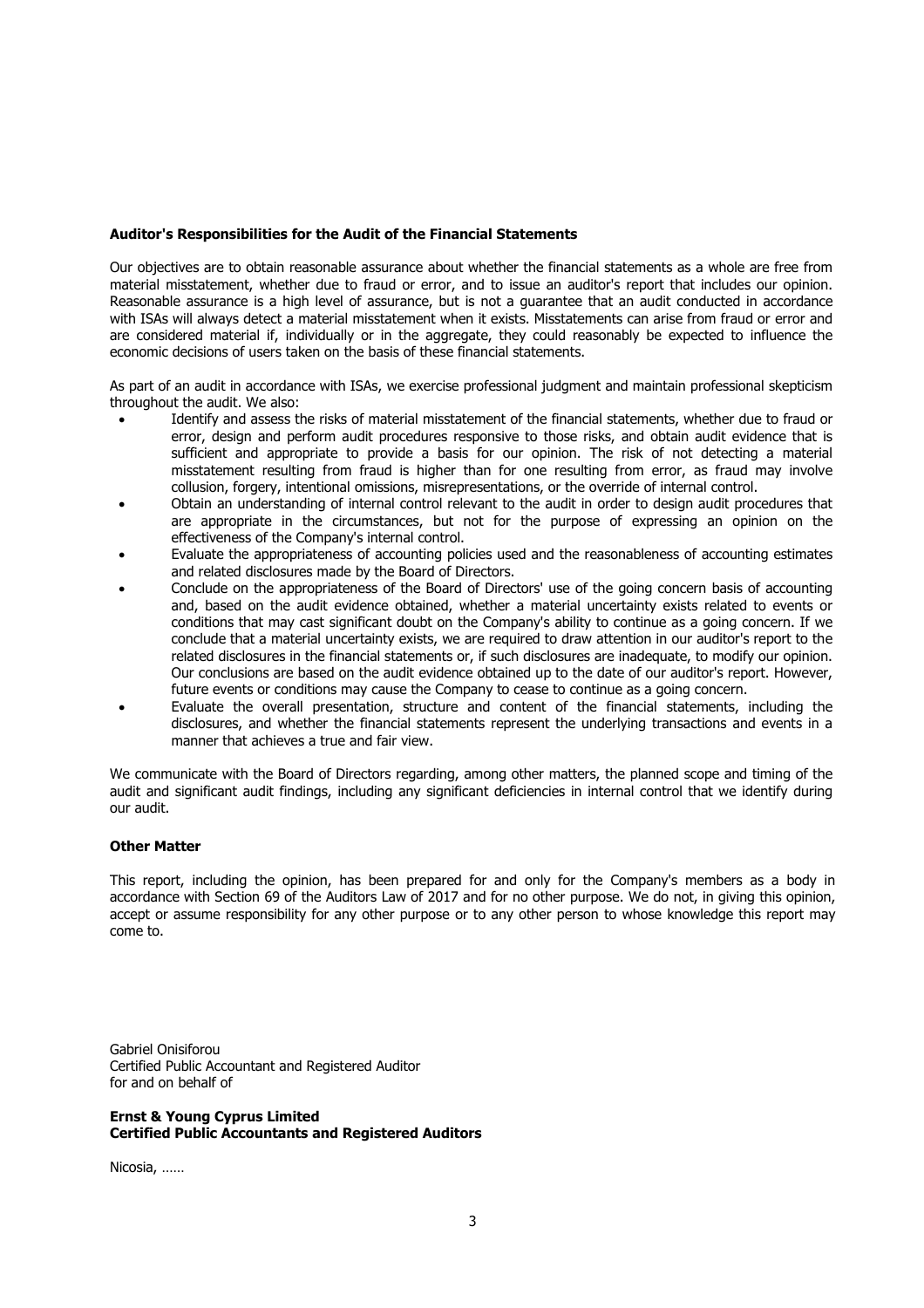#### **Auditor's Responsibilities for the Audit of the Financial Statements**

Our objectives are to obtain reasonable assurance about whether the financial statements as a whole are free from material misstatement, whether due to fraud or error, and to issue an auditor's report that includes our opinion. Reasonable assurance is a high level of assurance, but is not a guarantee that an audit conducted in accordance with ISAs will always detect a material misstatement when it exists. Misstatements can arise from fraud or error and are considered material if, individually or in the aggregate, they could reasonably be expected to influence the economic decisions of users taken on the basis of these financial statements.

As part of an audit in accordance with ISAs, we exercise professional judgment and maintain professional skepticism throughout the audit. We also:

- Identify and assess the risks of material misstatement of the financial statements, whether due to fraud or error, design and perform audit procedures responsive to those risks, and obtain audit evidence that is sufficient and appropriate to provide a basis for our opinion. The risk of not detecting a material misstatement resulting from fraud is higher than for one resulting from error, as fraud may involve collusion, forgery, intentional omissions, misrepresentations, or the override of internal control.
- Obtain an understanding of internal control relevant to the audit in order to design audit procedures that are appropriate in the circumstances, but not for the purpose of expressing an opinion on the effectiveness of the Company's internal control.
- Evaluate the appropriateness of accounting policies used and the reasonableness of accounting estimates and related disclosures made by the Board of Directors.
- Conclude on the appropriateness of the Board of Directors' use of the going concern basis of accounting and, based on the audit evidence obtained, whether a material uncertainty exists related to events or conditions that may cast significant doubt on the Company's ability to continue as a going concern. If we conclude that a material uncertainty exists, we are required to draw attention in our auditor's report to the related disclosures in the financial statements or, if such disclosures are inadequate, to modify our opinion. Our conclusions are based on the audit evidence obtained up to the date of our auditor's report. However, future events or conditions may cause the Company to cease to continue as a going concern.
- Evaluate the overall presentation, structure and content of the financial statements, including the disclosures, and whether the financial statements represent the underlying transactions and events in a manner that achieves a true and fair view.

We communicate with the Board of Directors regarding, among other matters, the planned scope and timing of the audit and significant audit findings, including any significant deficiencies in internal control that we identify during our audit.

#### **Other Matter**

This report, including the opinion, has been prepared for and only for the Company's members as a body in accordance with Section 69 of the Auditors Law of 2017 and for no other purpose. We do not, in giving this opinion, accept or assume responsibility for any other purpose or to any other person to whose knowledge this report may come to.

Gabriel Onisiforou Certified Public Accountant and Registered Auditor for and on behalf of

## **Ernst & Young Cyprus Limited Certified Public Accountants and Registered Auditors**

Nicosia, ……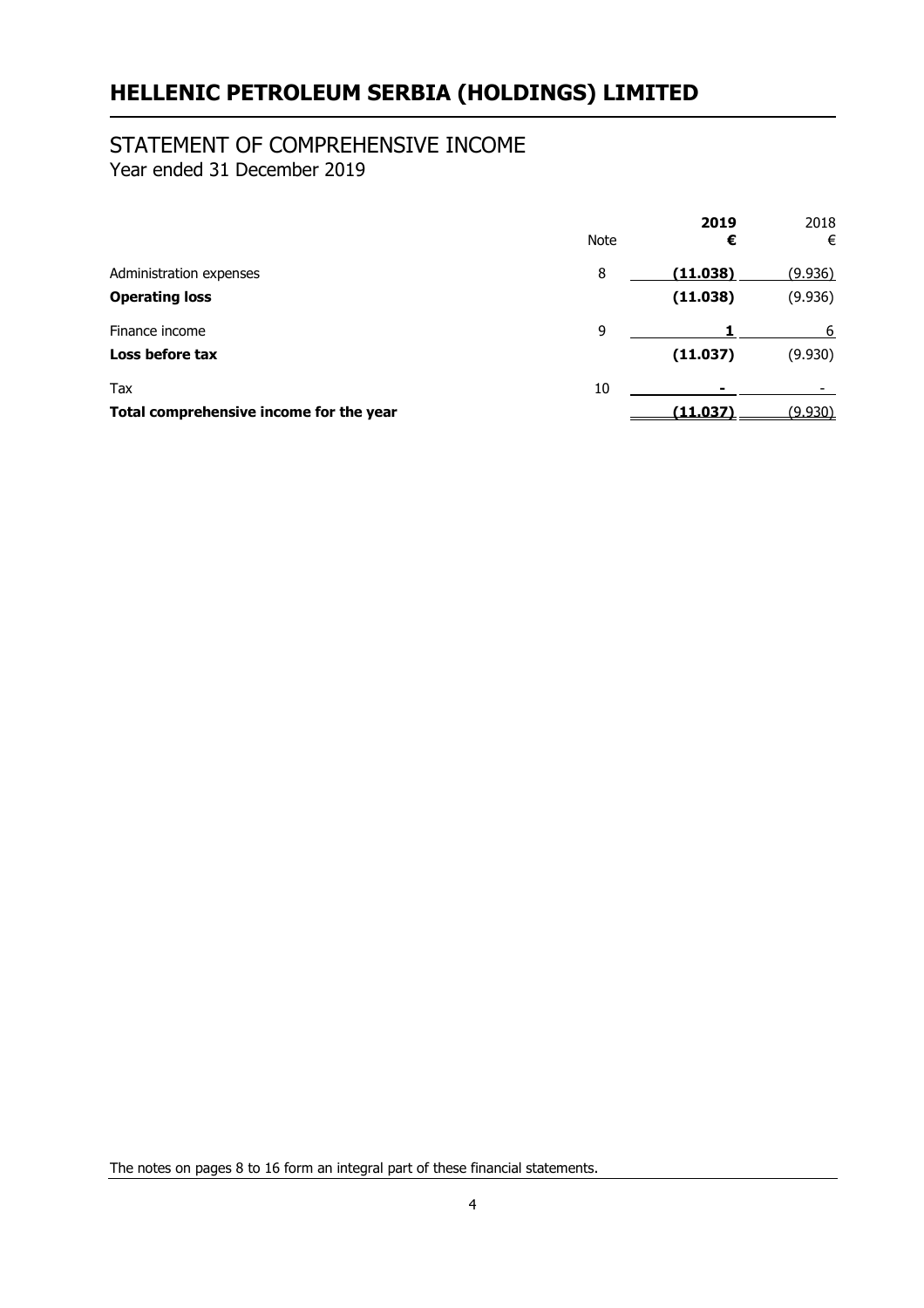# STATEMENT OF COMPREHENSIVE INCOME

Year ended 31 December 2019

|                                         | Note | 2019<br>€ | 2018<br>€      |
|-----------------------------------------|------|-----------|----------------|
| Administration expenses                 | 8    | (11.038)  | (9.936)        |
| <b>Operating loss</b>                   |      | (11.038)  | (9.936)        |
| Finance income                          | 9    |           | 6              |
| Loss before tax                         |      | (11.037)  | (9.930)        |
| Tax                                     | 10   |           |                |
| Total comprehensive income for the year |      | (11.037)  | <u>(9.930)</u> |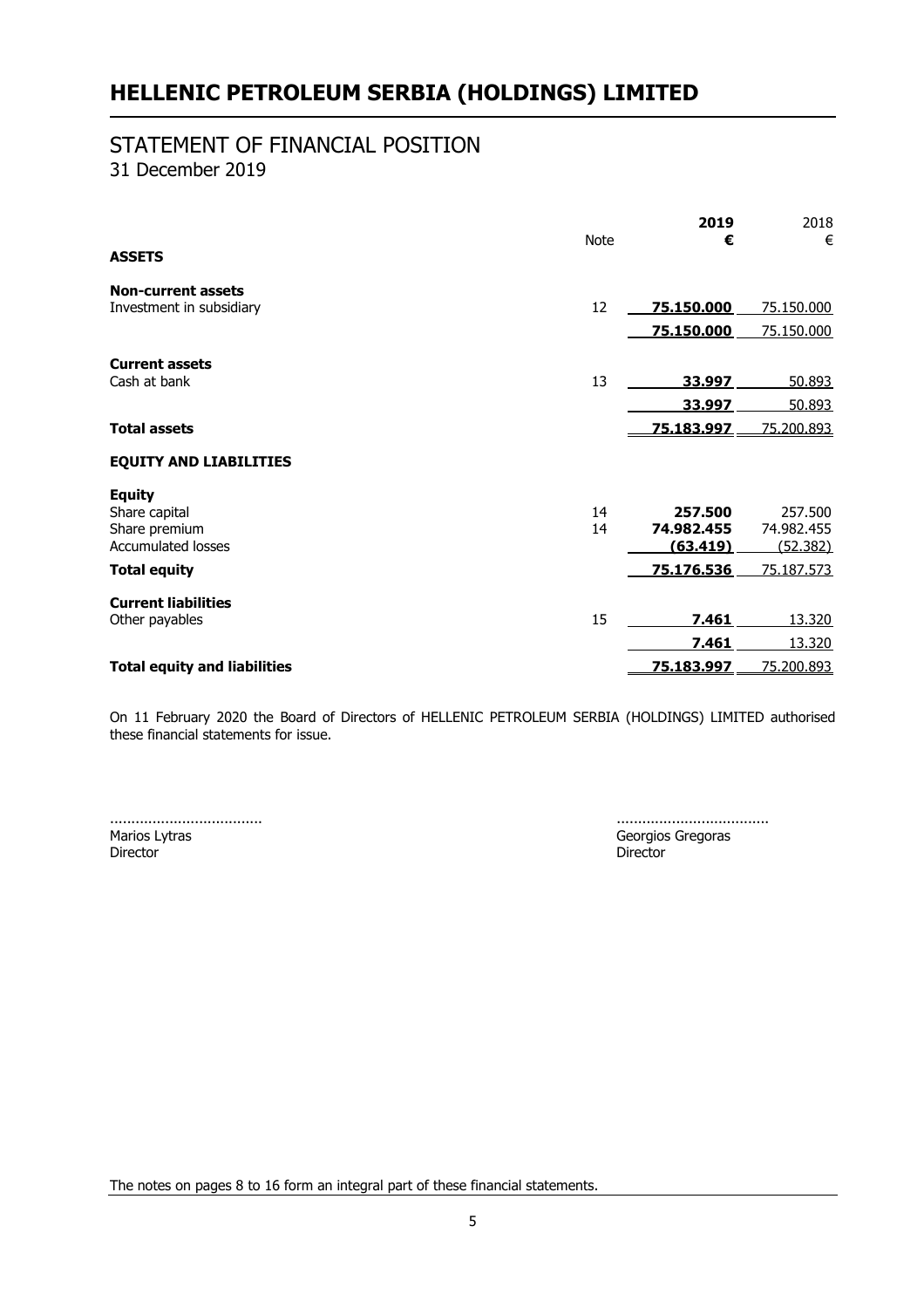# STATEMENT OF FINANCIAL POSITION

31 December 2019

|                                     |             | 2019       | 2018       |
|-------------------------------------|-------------|------------|------------|
|                                     | <b>Note</b> | €          | €          |
| <b>ASSETS</b>                       |             |            |            |
| <b>Non-current assets</b>           |             |            |            |
| Investment in subsidiary            | 12          | 75.150.000 | 75.150.000 |
|                                     |             | 75.150.000 | 75.150.000 |
| <b>Current assets</b>               |             |            |            |
| Cash at bank                        | 13          | 33.997     | 50.893     |
|                                     |             | 33.997     | 50.893     |
| <b>Total assets</b>                 |             | 75.183.997 | 75.200.893 |
| <b>EQUITY AND LIABILITIES</b>       |             |            |            |
| <b>Equity</b>                       |             |            |            |
| Share capital                       | 14          | 257.500    | 257,500    |
| Share premium                       | 14          | 74.982.455 | 74.982.455 |
| <b>Accumulated losses</b>           |             | (63.419)   | (52.382)   |
| <b>Total equity</b>                 |             | 75.176.536 | 75.187.573 |
| <b>Current liabilities</b>          |             |            |            |
| Other payables                      | 15          | 7.461      | 13.320     |
|                                     |             | 7.461      | 13.320     |
| <b>Total equity and liabilities</b> |             | 75.183.997 | 75.200.893 |

On 11 February 2020 the Board of Directors of HELLENIC PETROLEUM SERBIA (HOLDINGS) LIMITED authorised these financial statements for issue.

Marios Lytras Georgios Gregoras Director Director

.................................... ....................................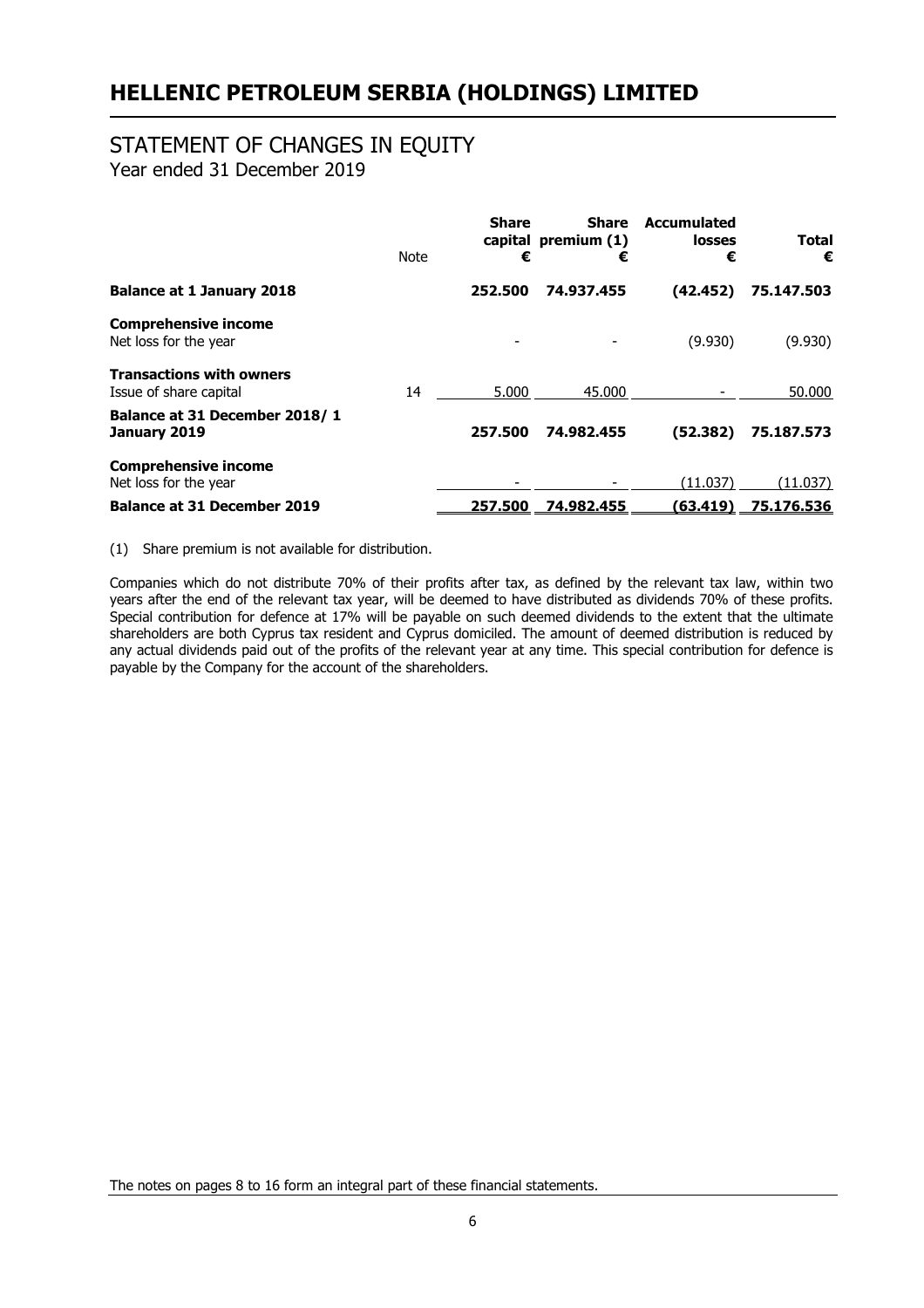# STATEMENT OF CHANGES IN EQUITY

Year ended 31 December 2019

|                                                           | <b>Note</b> | <b>Share</b><br>€ | <b>Share</b><br>capital premium (1)<br>€ | <b>Accumulated</b><br><b>losses</b><br>€ | <b>Total</b><br>€ |
|-----------------------------------------------------------|-------------|-------------------|------------------------------------------|------------------------------------------|-------------------|
| <b>Balance at 1 January 2018</b>                          |             | 252.500           | 74.937.455                               | (42.452)                                 | 75.147.503        |
| <b>Comprehensive income</b><br>Net loss for the year      |             |                   |                                          | (9.930)                                  | (9.930)           |
| <b>Transactions with owners</b><br>Issue of share capital | 14          | 5.000             | 45.000                                   |                                          | 50,000            |
| Balance at 31 December 2018/1<br>January 2019             |             | 257.500           | 74.982.455                               | (52.382)                                 | 75,187,573        |
| <b>Comprehensive income</b><br>Net loss for the year      |             |                   |                                          | (11.037)                                 | (11.037)          |
| <b>Balance at 31 December 2019</b>                        |             | 257.500           | 74.982.455                               | (63.419)                                 | 75.176.536        |

(1) Share premium is not available for distribution.

Companies which do not distribute 70% of their profits after tax, as defined by the relevant tax law, within two years after the end of the relevant tax year, will be deemed to have distributed as dividends 70% of these profits. Special contribution for defence at 17% will be payable on such deemed dividends to the extent that the ultimate shareholders are both Cyprus tax resident and Cyprus domiciled. The amount of deemed distribution is reduced by any actual dividends paid out of the profits of the relevant year at any time. This special contribution for defence is payable by the Company for the account of the shareholders.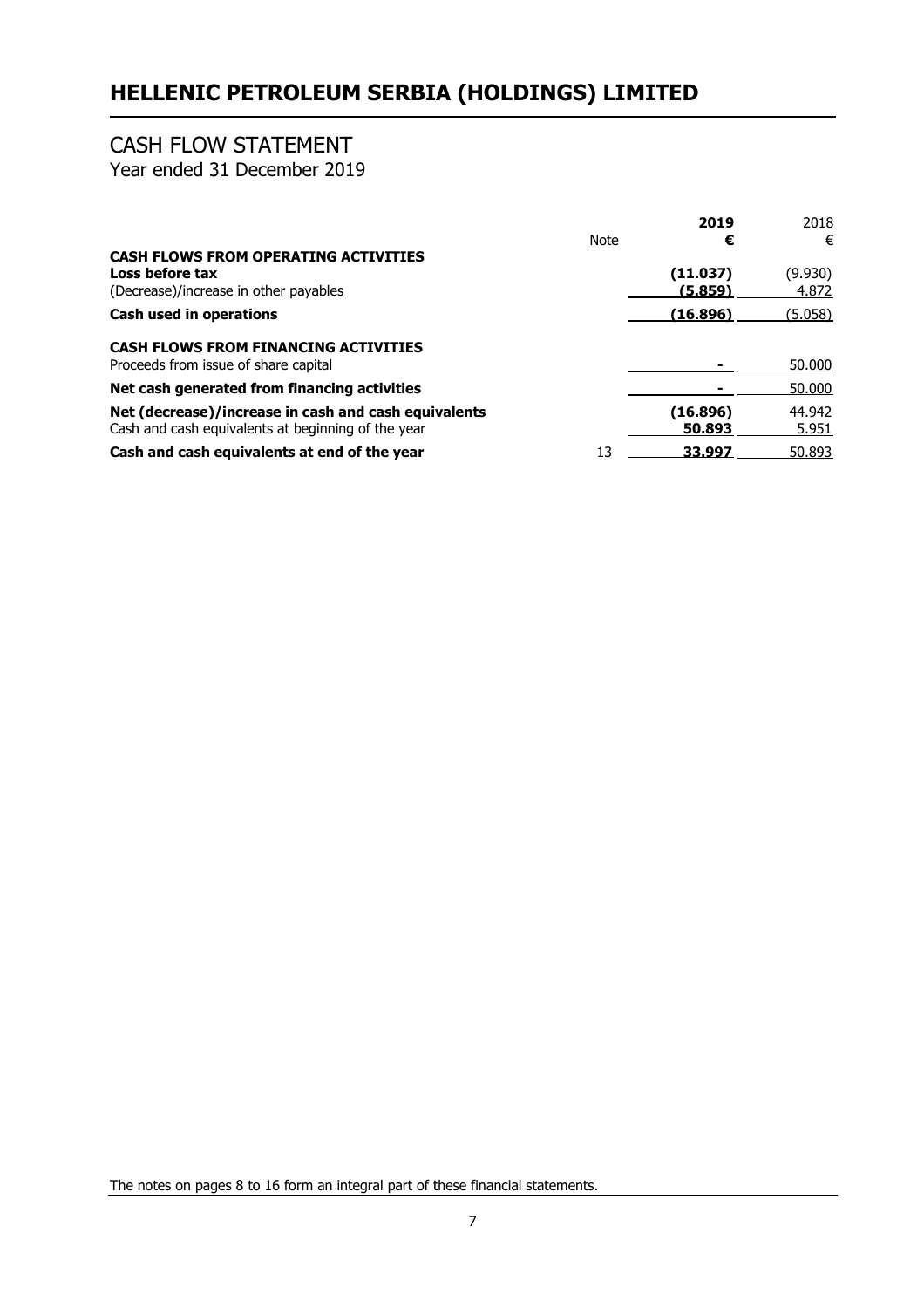# CASH FLOW STATEMENT

Year ended 31 December 2019

|                                                                                                            |      | 2019                | 2018             |
|------------------------------------------------------------------------------------------------------------|------|---------------------|------------------|
|                                                                                                            | Note | €                   | €                |
| <b>CASH FLOWS FROM OPERATING ACTIVITIES</b><br>Loss before tax<br>(Decrease)/increase in other payables    |      | (11.037)<br>(5.859) | (9.930)<br>4.872 |
| Cash used in operations                                                                                    |      | (16.896)            | (5.058)          |
| <b>CASH FLOWS FROM FINANCING ACTIVITIES</b><br>Proceeds from issue of share capital                        |      |                     | 50.000           |
| Net cash generated from financing activities                                                               |      |                     | 50,000           |
| Net (decrease)/increase in cash and cash equivalents<br>Cash and cash equivalents at beginning of the year |      | (16.896)<br>50,893  | 44.942<br>5.951  |
| Cash and cash equivalents at end of the year                                                               | 13   | 33.997              | 50.893           |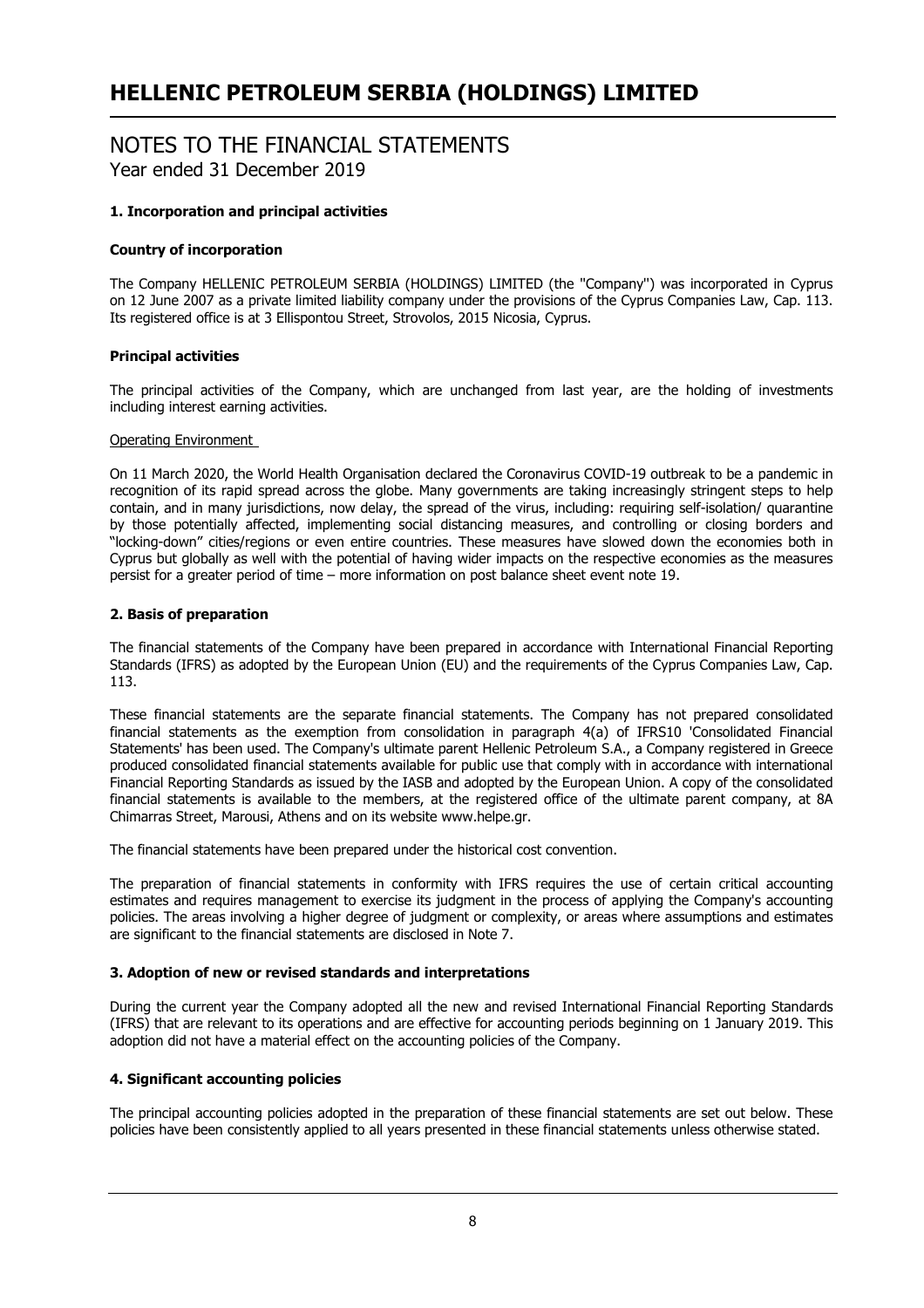# NOTES TO THE FINANCIAL STATEMENTS Year ended 31 December 2019

# **1. Incorporation and principal activities**

## **Country of incorporation**

The Company HELLENIC PETROLEUM SERBIA (HOLDINGS) LIMITED (the ''Company'') was incorporated in Cyprus on 12 June 2007 as a private limited liability company under the provisions of the Cyprus Companies Law, Cap. 113. Its registered office is at 3 Ellispontou Street, Strovolos, 2015 Nicosia, Cyprus.

## **Principal activities**

The principal activities of the Company, which are unchanged from last year, are the holding of investments including interest earning activities.

#### Operating Environment

On 11 March 2020, the World Health Organisation declared the Coronavirus COVID-19 outbreak to be a pandemic in recognition of its rapid spread across the globe. Many governments are taking increasingly stringent steps to help contain, and in many jurisdictions, now delay, the spread of the virus, including: requiring self-isolation/ quarantine by those potentially affected, implementing social distancing measures, and controlling or closing borders and "locking-down" cities/regions or even entire countries. These measures have slowed down the economies both in Cyprus but globally as well with the potential of having wider impacts on the respective economies as the measures persist for a greater period of time – more information on post balance sheet event note 19.

## **2. Basis of preparation**

The financial statements of the Company have been prepared in accordance with International Financial Reporting Standards (IFRS) as adopted by the European Union (EU) and the requirements of the Cyprus Companies Law, Cap. 113.

These financial statements are the separate financial statements. The Company has not prepared consolidated financial statements as the exemption from consolidation in paragraph 4(a) of IFRS10 'Consolidated Financial Statements' has been used. The Company's ultimate parent Hellenic Petroleum S.A., a Company registered in Greece produced consolidated financial statements available for public use that comply with in accordance with international Financial Reporting Standards as issued by the IASB and adopted by the European Union. A copy of the consolidated financial statements is available to the members, at the registered office of the ultimate parent company, at 8A Chimarras Street, Marousi, Athens and on its website www.helpe.gr.

The financial statements have been prepared under the historical cost convention.

The preparation of financial statements in conformity with IFRS requires the use of certain critical accounting estimates and requires management to exercise its judgment in the process of applying the Company's accounting policies. The areas involving a higher degree of judgment or complexity, or areas where assumptions and estimates are significant to the financial statements are disclosed in Note 7.

## **3. Adoption of new or revised standards and interpretations**

During the current year the Company adopted all the new and revised International Financial Reporting Standards (IFRS) that are relevant to its operations and are effective for accounting periods beginning on 1 January 2019. This adoption did not have a material effect on the accounting policies of the Company.

# **4. Significant accounting policies**

The principal accounting policies adopted in the preparation of these financial statements are set out below. These policies have been consistently applied to all years presented in these financial statements unless otherwise stated.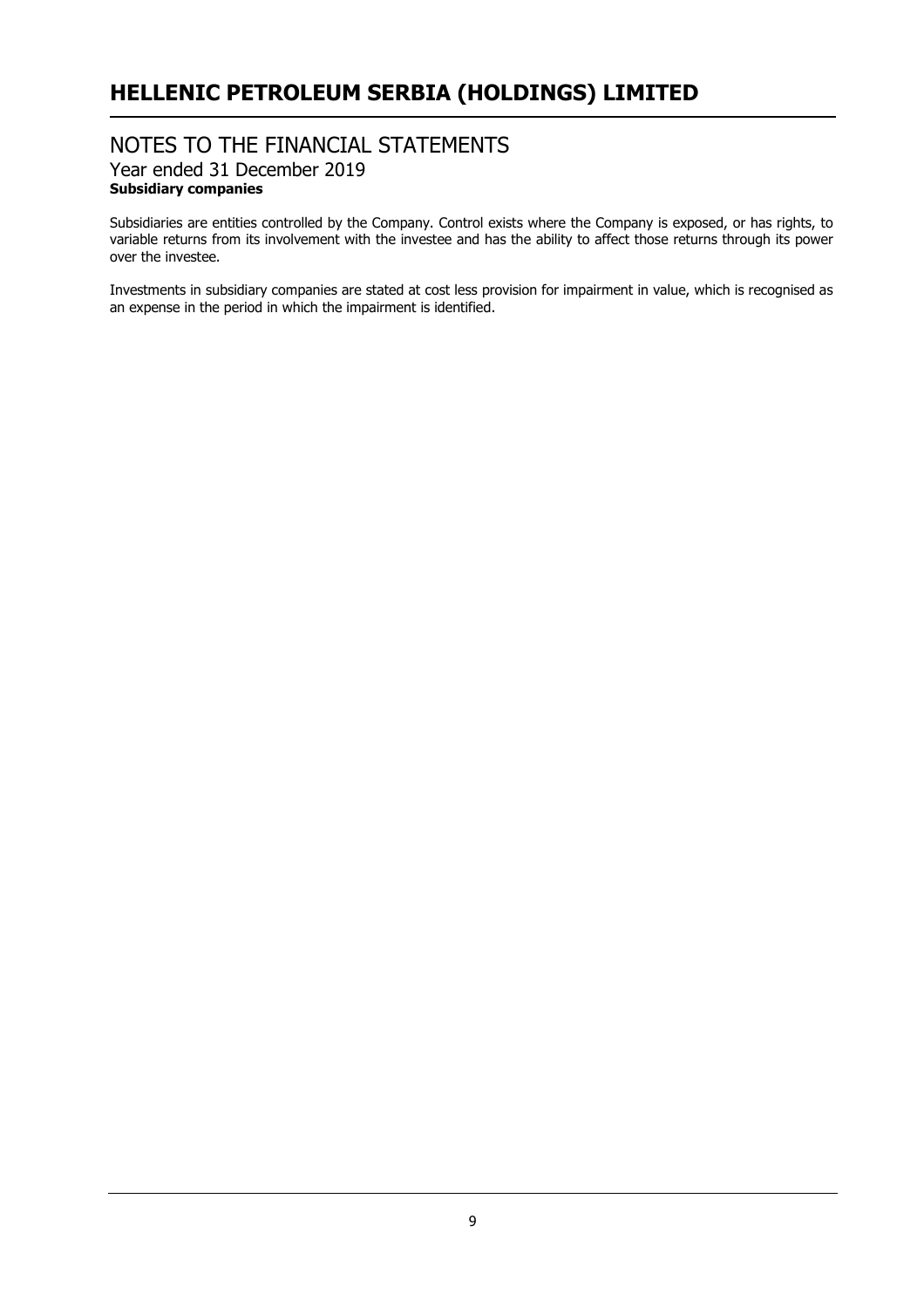# NOTES TO THE FINANCIAL STATEMENTS Year ended 31 December 2019 **Subsidiary companies**

Subsidiaries are entities controlled by the Company. Control exists where the Company is exposed, or has rights, to variable returns from its involvement with the investee and has the ability to affect those returns through its power over the investee.

Investments in subsidiary companies are stated at cost less provision for impairment in value, which is recognised as an expense in the period in which the impairment is identified.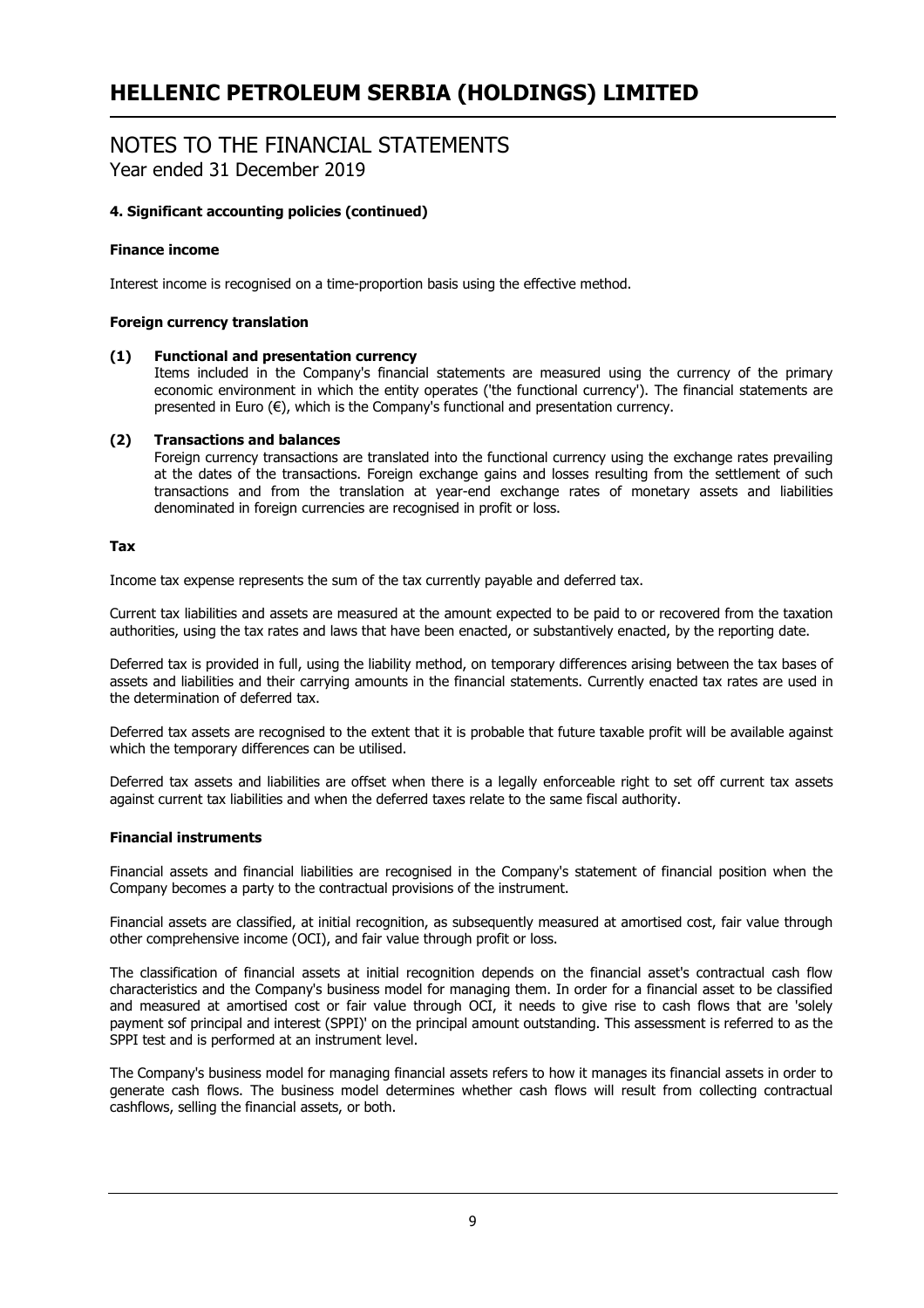# NOTES TO THE FINANCIAL STATEMENTS

Year ended 31 December 2019

# **4. Significant accounting policies (continued)**

## **Finance income**

Interest income is recognised on a time-proportion basis using the effective method.

## **Foreign currency translation**

#### **(1) Functional and presentation currency**

Items included in the Company's financial statements are measured using the currency of the primary economic environment in which the entity operates ('the functional currency'). The financial statements are presented in Euro  $(\epsilon)$ , which is the Company's functional and presentation currency.

#### **(2) Transactions and balances**

Foreign currency transactions are translated into the functional currency using the exchange rates prevailing at the dates of the transactions. Foreign exchange gains and losses resulting from the settlement of such transactions and from the translation at year-end exchange rates of monetary assets and liabilities denominated in foreign currencies are recognised in profit or loss.

#### **Tax**

Income tax expense represents the sum of the tax currently payable and deferred tax.

Current tax liabilities and assets are measured at the amount expected to be paid to or recovered from the taxation authorities, using the tax rates and laws that have been enacted, or substantively enacted, by the reporting date.

Deferred tax is provided in full, using the liability method, on temporary differences arising between the tax bases of assets and liabilities and their carrying amounts in the financial statements. Currently enacted tax rates are used in the determination of deferred tax.

Deferred tax assets are recognised to the extent that it is probable that future taxable profit will be available against which the temporary differences can be utilised.

Deferred tax assets and liabilities are offset when there is a legally enforceable right to set off current tax assets against current tax liabilities and when the deferred taxes relate to the same fiscal authority.

#### **Financial instruments**

Financial assets and financial liabilities are recognised in the Company's statement of financial position when the Company becomes a party to the contractual provisions of the instrument.

Financial assets are classified, at initial recognition, as subsequently measured at amortised cost, fair value through other comprehensive income (OCI), and fair value through profit or loss.

The classification of financial assets at initial recognition depends on the financial asset's contractual cash flow characteristics and the Company's business model for managing them. In order for a financial asset to be classified and measured at amortised cost or fair value through OCI, it needs to give rise to cash flows that are 'solely payment sof principal and interest (SPPI)' on the principal amount outstanding. This assessment is referred to as the SPPI test and is performed at an instrument level.

The Company's business model for managing financial assets refers to how it manages its financial assets in order to generate cash flows. The business model determines whether cash flows will result from collecting contractual cashflows, selling the financial assets, or both.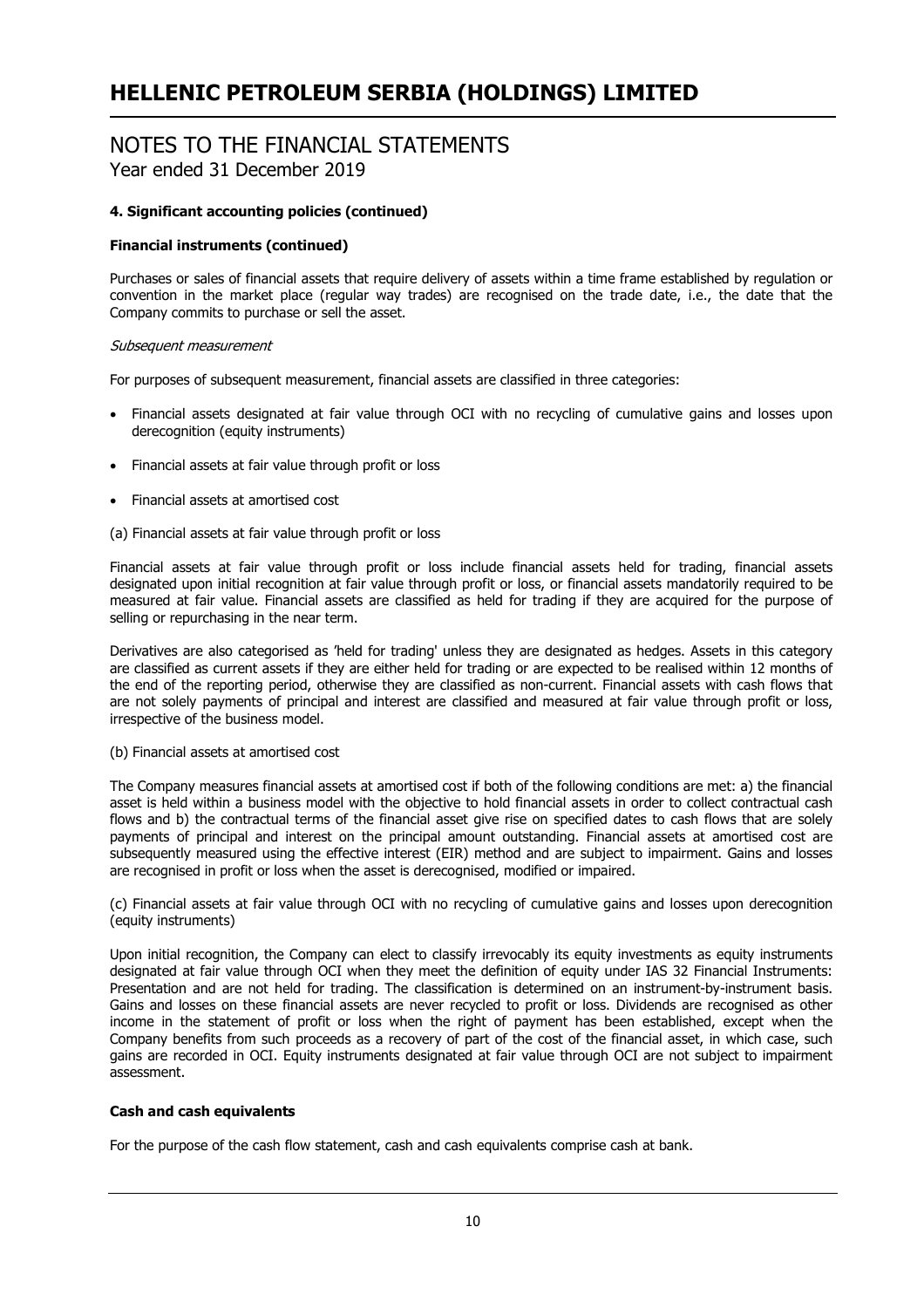# NOTES TO THE FINANCIAL STATEMENTS

Year ended 31 December 2019

# **4. Significant accounting policies (continued)**

## **Financial instruments (continued)**

Purchases or sales of financial assets that require delivery of assets within a time frame established by regulation or convention in the market place (regular way trades) are recognised on the trade date, i.e., the date that the Company commits to purchase or sell the asset.

## Subsequent measurement

For purposes of subsequent measurement, financial assets are classified in three categories:

- Financial assets designated at fair value through OCI with no recycling of cumulative gains and losses upon derecognition (equity instruments)
- Financial assets at fair value through profit or loss
- Financial assets at amortised cost

(a) Financial assets at fair value through profit or loss

Financial assets at fair value through profit or loss include financial assets held for trading, financial assets designated upon initial recognition at fair value through profit or loss, or financial assets mandatorily required to be measured at fair value. Financial assets are classified as held for trading if they are acquired for the purpose of selling or repurchasing in the near term.

Derivatives are also categorised as 'held for trading' unless they are designated as hedges. Assets in this category are classified as current assets if they are either held for trading or are expected to be realised within 12 months of the end of the reporting period, otherwise they are classified as non-current. Financial assets with cash flows that are not solely payments of principal and interest are classified and measured at fair value through profit or loss, irrespective of the business model.

## (b) Financial assets at amortised cost

The Company measures financial assets at amortised cost if both of the following conditions are met: a) the financial asset is held within a business model with the objective to hold financial assets in order to collect contractual cash flows and b) the contractual terms of the financial asset give rise on specified dates to cash flows that are solely payments of principal and interest on the principal amount outstanding. Financial assets at amortised cost are subsequently measured using the effective interest (EIR) method and are subject to impairment. Gains and losses are recognised in profit or loss when the asset is derecognised, modified or impaired.

(c) Financial assets at fair value through OCI with no recycling of cumulative gains and losses upon derecognition (equity instruments)

Upon initial recognition, the Company can elect to classify irrevocably its equity investments as equity instruments designated at fair value through OCI when they meet the definition of equity under IAS 32 Financial Instruments: Presentation and are not held for trading. The classification is determined on an instrument-by-instrument basis. Gains and losses on these financial assets are never recycled to profit or loss. Dividends are recognised as other income in the statement of profit or loss when the right of payment has been established, except when the Company benefits from such proceeds as a recovery of part of the cost of the financial asset, in which case, such gains are recorded in OCI. Equity instruments designated at fair value through OCI are not subject to impairment assessment.

## **Cash and cash equivalents**

For the purpose of the cash flow statement, cash and cash equivalents comprise cash at bank.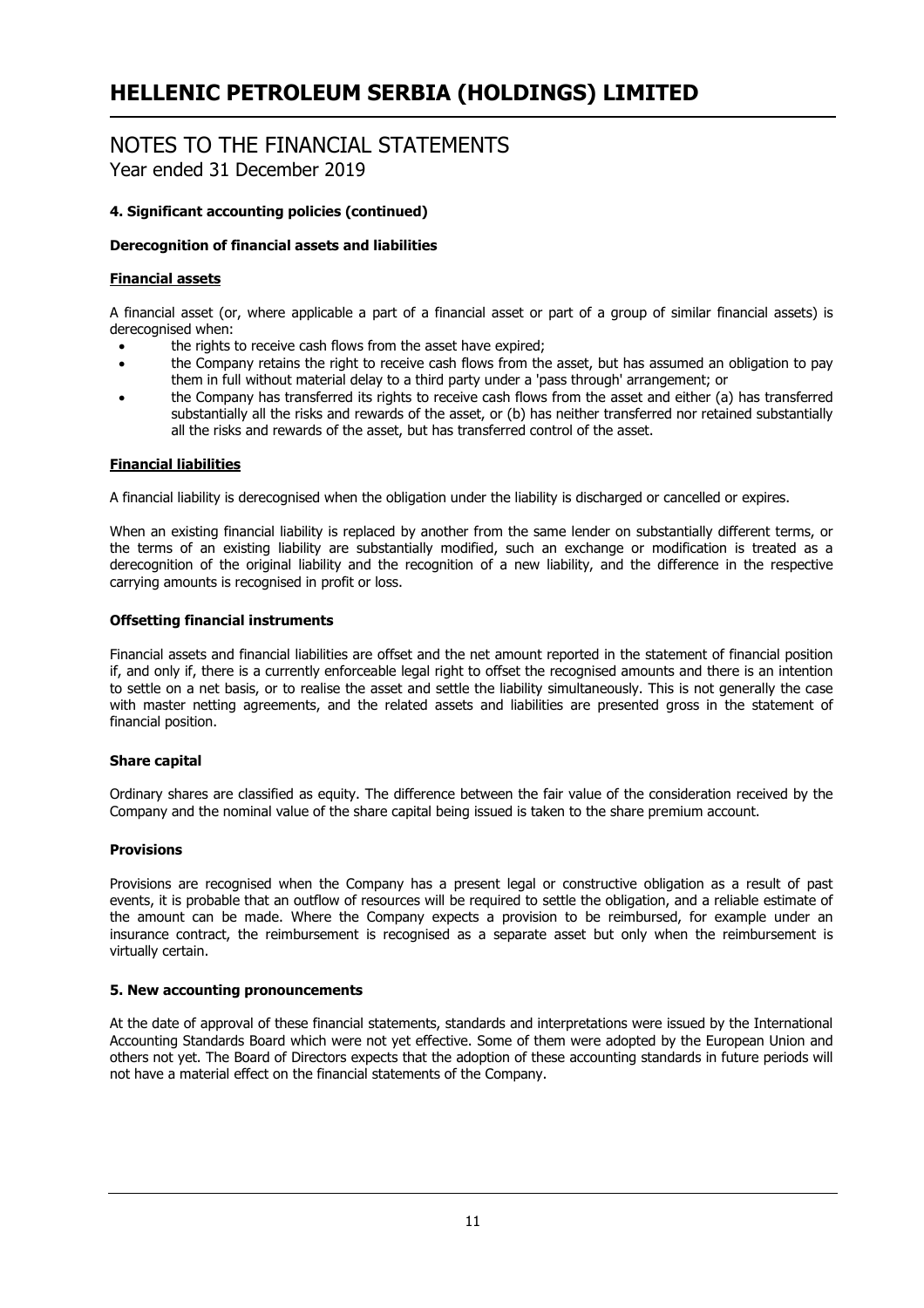# NOTES TO THE FINANCIAL STATEMENTS

Year ended 31 December 2019

# **4. Significant accounting policies (continued)**

# **Derecognition of financial assets and liabilities**

# **Financial assets**

A financial asset (or, where applicable a part of a financial asset or part of a group of similar financial assets) is derecognised when:

- the rights to receive cash flows from the asset have expired;
- the Company retains the right to receive cash flows from the asset, but has assumed an obligation to pay them in full without material delay to a third party under a 'pass through' arrangement; or
- the Company has transferred its rights to receive cash flows from the asset and either (a) has transferred substantially all the risks and rewards of the asset, or (b) has neither transferred nor retained substantially all the risks and rewards of the asset, but has transferred control of the asset.

# **Financial liabilities**

A financial liability is derecognised when the obligation under the liability is discharged or cancelled or expires.

When an existing financial liability is replaced by another from the same lender on substantially different terms, or the terms of an existing liability are substantially modified, such an exchange or modification is treated as a derecognition of the original liability and the recognition of a new liability, and the difference in the respective carrying amounts is recognised in profit or loss.

## **Offsetting financial instruments**

Financial assets and financial liabilities are offset and the net amount reported in the statement of financial position if, and only if, there is a currently enforceable legal right to offset the recognised amounts and there is an intention to settle on a net basis, or to realise the asset and settle the liability simultaneously. This is not generally the case with master netting agreements, and the related assets and liabilities are presented gross in the statement of financial position.

## **Share capital**

Ordinary shares are classified as equity. The difference between the fair value of the consideration received by the Company and the nominal value of the share capital being issued is taken to the share premium account.

## **Provisions**

Provisions are recognised when the Company has a present legal or constructive obligation as a result of past events, it is probable that an outflow of resources will be required to settle the obligation, and a reliable estimate of the amount can be made. Where the Company expects a provision to be reimbursed, for example under an insurance contract, the reimbursement is recognised as a separate asset but only when the reimbursement is virtually certain.

## **5. New accounting pronouncements**

At the date of approval of these financial statements, standards and interpretations were issued by the International Accounting Standards Board which were not yet effective. Some of them were adopted by the European Union and others not yet. The Board of Directors expects that the adoption of these accounting standards in future periods will not have a material effect on the financial statements of the Company.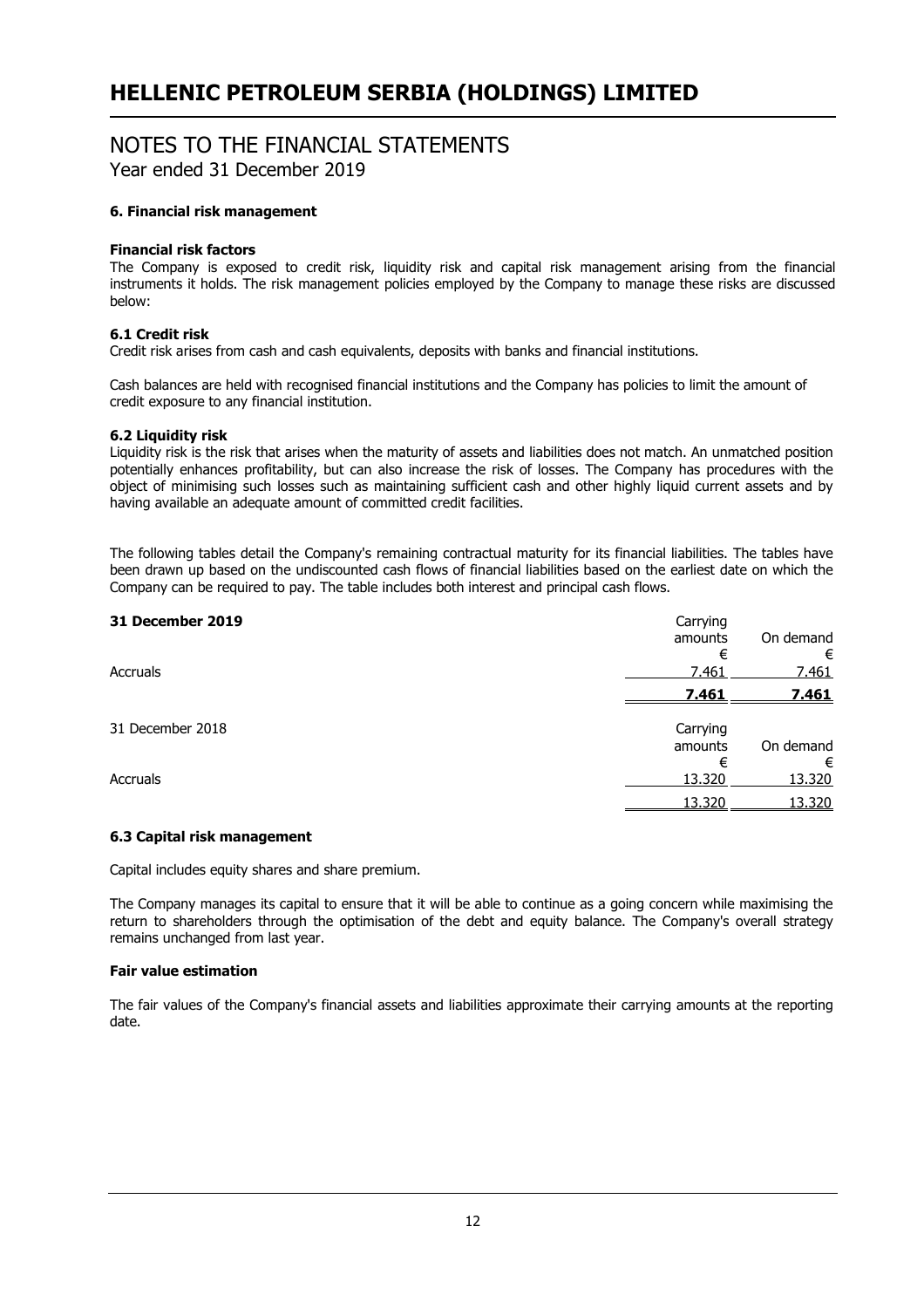# NOTES TO THE FINANCIAL STATEMENTS

Year ended 31 December 2019

## **6. Financial risk management**

## **Financial risk factors**

The Company is exposed to credit risk, liquidity risk and capital risk management arising from the financial instruments it holds. The risk management policies employed by the Company to manage these risks are discussed below:

# **6.1 Credit risk**

Credit risk arises from cash and cash equivalents, deposits with banks and financial institutions.

Cash balances are held with recognised financial institutions and the Company has policies to limit the amount of credit exposure to any financial institution.

## **6.2 Liquidity risk**

Liquidity risk is the risk that arises when the maturity of assets and liabilities does not match. An unmatched position potentially enhances profitability, but can also increase the risk of losses. The Company has procedures with the object of minimising such losses such as maintaining sufficient cash and other highly liquid current assets and by having available an adequate amount of committed credit facilities.

The following tables detail the Company's remaining contractual maturity for its financial liabilities. The tables have been drawn up based on the undiscounted cash flows of financial liabilities based on the earliest date on which the Company can be required to pay. The table includes both interest and principal cash flows.

| Carrying<br>amounts | On demand       |
|---------------------|-----------------|
| €                   | €               |
|                     | 7.461           |
| 7.461               | 7.461           |
| Carrying            |                 |
| amounts             | On demand       |
| €                   | €               |
|                     | 13.320          |
| 13.320              | 13,320          |
|                     | 7.461<br>13.320 |

# **6.3 Capital risk management**

Capital includes equity shares and share premium.

The Company manages its capital to ensure that it will be able to continue as a going concern while maximising the return to shareholders through the optimisation of the debt and equity balance. The Company's overall strategy remains unchanged from last year.

## **Fair value estimation**

The fair values of the Company's financial assets and liabilities approximate their carrying amounts at the reporting date.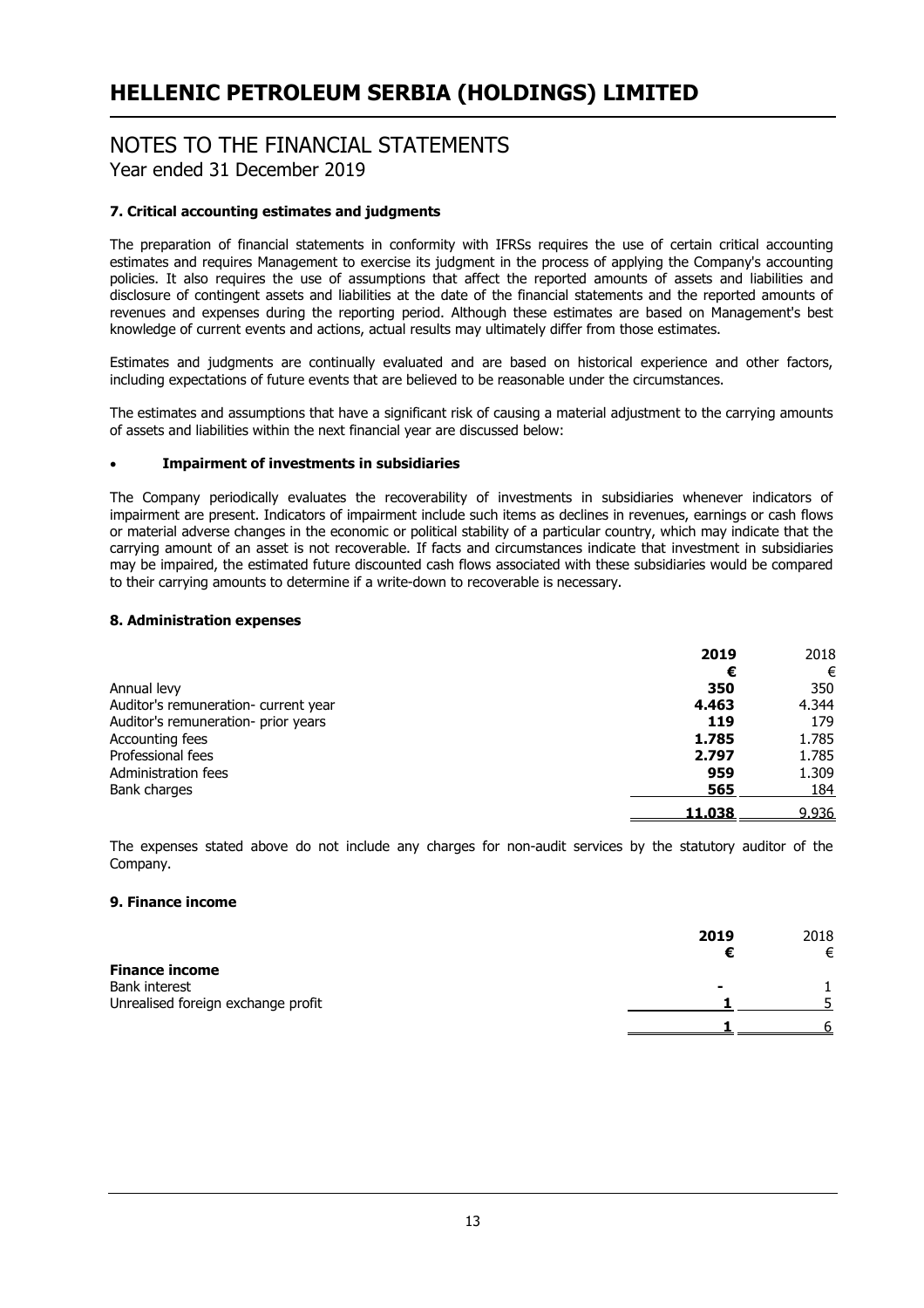# NOTES TO THE FINANCIAL STATEMENTS Year ended 31 December 2019

# **7. Critical accounting estimates and judgments**

The preparation of financial statements in conformity with IFRSs requires the use of certain critical accounting estimates and requires Management to exercise its judgment in the process of applying the Company's accounting policies. It also requires the use of assumptions that affect the reported amounts of assets and liabilities and disclosure of contingent assets and liabilities at the date of the financial statements and the reported amounts of revenues and expenses during the reporting period. Although these estimates are based on Management's best knowledge of current events and actions, actual results may ultimately differ from those estimates.

Estimates and judgments are continually evaluated and are based on historical experience and other factors, including expectations of future events that are believed to be reasonable under the circumstances.

The estimates and assumptions that have a significant risk of causing a material adjustment to the carrying amounts of assets and liabilities within the next financial year are discussed below:

# **Impairment of investments in subsidiaries**

The Company periodically evaluates the recoverability of investments in subsidiaries whenever indicators of impairment are present. Indicators of impairment include such items as declines in revenues, earnings or cash flows or material adverse changes in the economic or political stability of a particular country, which may indicate that the carrying amount of an asset is not recoverable. If facts and circumstances indicate that investment in subsidiaries may be impaired, the estimated future discounted cash flows associated with these subsidiaries would be compared to their carrying amounts to determine if a write-down to recoverable is necessary.

#### **8. Administration expenses**

|                                      | 2019   | 2018  |
|--------------------------------------|--------|-------|
|                                      | €      | €     |
| Annual levy                          | 350    | 350   |
| Auditor's remuneration- current year | 4.463  | 4.344 |
| Auditor's remuneration- prior years  | 119    | 179   |
| Accounting fees                      | 1.785  | 1.785 |
| Professional fees                    | 2.797  | 1.785 |
| Administration fees                  | 959    | 1.309 |
| Bank charges                         | 565    | 184   |
|                                      | 11.038 | 9.936 |

The expenses stated above do not include any charges for non-audit services by the statutory auditor of the Company.

#### **9. Finance income**

|                                    | 2019 | 2018 |
|------------------------------------|------|------|
|                                    |      | €    |
| <b>Finance income</b>              |      |      |
| Bank interest                      |      |      |
| Unrealised foreign exchange profit |      |      |
|                                    |      |      |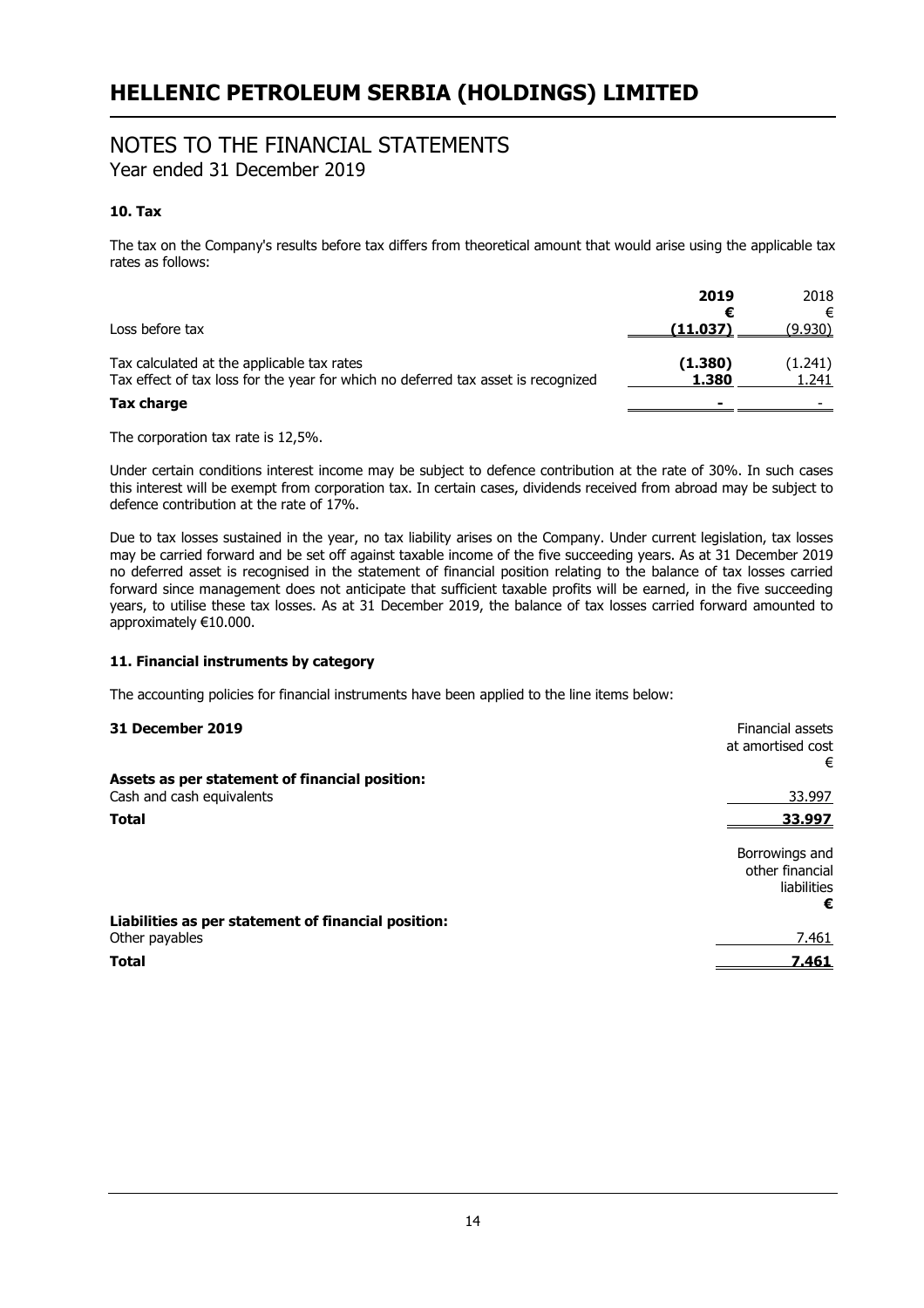# NOTES TO THE FINANCIAL STATEMENTS

Year ended 31 December 2019

# **10. Tax**

The tax on the Company's results before tax differs from theoretical amount that would arise using the applicable tax rates as follows:

| Loss before tax                                                                                                                 | 2019<br>(11.037) | 2018<br>€<br>(9.930) |
|---------------------------------------------------------------------------------------------------------------------------------|------------------|----------------------|
| Tax calculated at the applicable tax rates<br>Tax effect of tax loss for the year for which no deferred tax asset is recognized | (1.380)<br>1.380 | (1.241)<br>1.241     |
| <b>Tax charge</b>                                                                                                               |                  |                      |

The corporation tax rate is 12,5%.

Under certain conditions interest income may be subject to defence contribution at the rate of 30%. In such cases this interest will be exempt from corporation tax. In certain cases, dividends received from abroad may be subject to defence contribution at the rate of 17%.

Due to tax losses sustained in the year, no tax liability arises on the Company. Under current legislation, tax losses may be carried forward and be set off against taxable income of the five succeeding years. As at 31 December 2019 no deferred asset is recognised in the statement of financial position relating to the balance of tax losses carried forward since management does not anticipate that sufficient taxable profits will be earned, in the five succeeding years, to utilise these tax losses. As at 31 December 2019, the balance of tax losses carried forward amounted to approximately €10.000.

# **11. Financial instruments by category**

The accounting policies for financial instruments have been applied to the line items below:

| 31 December 2019                                    | Financial assets<br>at amortised cost<br>€ |
|-----------------------------------------------------|--------------------------------------------|
| Assets as per statement of financial position:      |                                            |
| Cash and cash equivalents                           | 33.997                                     |
| <b>Total</b>                                        | 33.997                                     |
|                                                     | Borrowings and<br>other financial          |
|                                                     | liabilities                                |
|                                                     | €                                          |
| Liabilities as per statement of financial position: |                                            |
| Other payables                                      | 7.461                                      |
| <b>Total</b>                                        | 7.461                                      |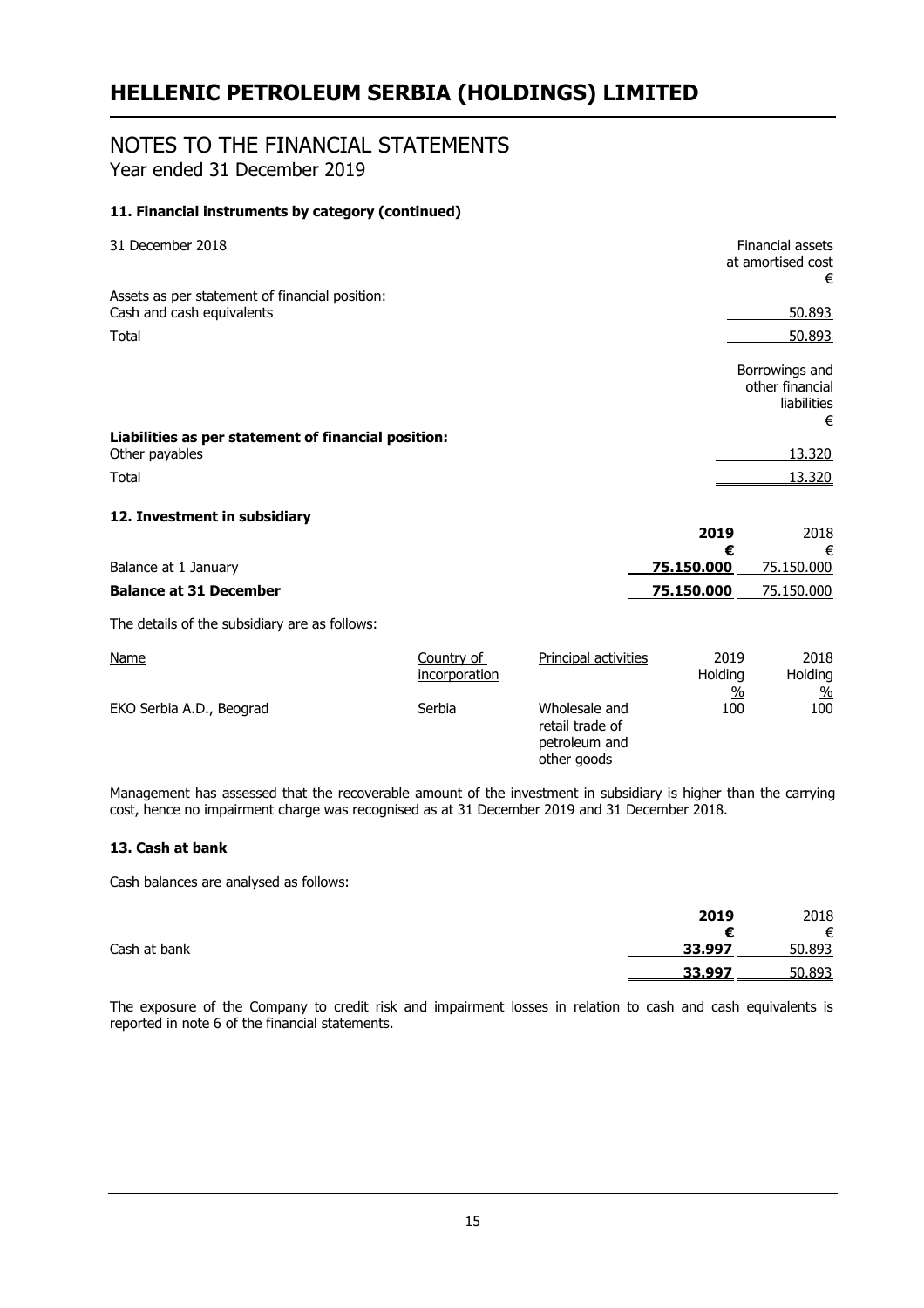# NOTES TO THE FINANCIAL STATEMENTS Year ended 31 December 2019

# **11. Financial instruments by category (continued)**

| 31 December 2018                                                            |                             |                                                                  |                                  | Financial assets<br>at amortised cost<br>€       |
|-----------------------------------------------------------------------------|-----------------------------|------------------------------------------------------------------|----------------------------------|--------------------------------------------------|
| Assets as per statement of financial position:<br>Cash and cash equivalents |                             |                                                                  |                                  | 50.893                                           |
|                                                                             |                             |                                                                  |                                  |                                                  |
| Total                                                                       |                             |                                                                  |                                  | 50.893                                           |
|                                                                             |                             |                                                                  |                                  | Borrowings and<br>other financial<br>liabilities |
|                                                                             |                             |                                                                  |                                  | €                                                |
| Liabilities as per statement of financial position:<br>Other payables       |                             |                                                                  |                                  | 13.320                                           |
| Total                                                                       |                             |                                                                  |                                  | 13,320                                           |
| 12. Investment in subsidiary                                                |                             |                                                                  | 2019                             | 2018                                             |
| Balance at 1 January                                                        |                             |                                                                  | €<br>75.150.000                  | €<br>75.150.000                                  |
| <b>Balance at 31 December</b>                                               |                             |                                                                  | 75.150.000                       | 75.150.000                                       |
| The details of the subsidiary are as follows:                               |                             |                                                                  |                                  |                                                  |
| <b>Name</b>                                                                 | Country of<br>incorporation | Principal activities                                             | 2019<br>Holding<br>$\frac{0}{2}$ | 2018<br>Holding<br>$\frac{0}{0}$                 |
| EKO Serbia A.D., Beograd                                                    | Serbia                      | Wholesale and<br>retail trade of<br>petroleum and<br>other goods | 100                              | 100                                              |

Management has assessed that the recoverable amount of the investment in subsidiary is higher than the carrying cost, hence no impairment charge was recognised as at 31 December 2019 and 31 December 2018.

# **13. Cash at bank**

Cash balances are analysed as follows:

|              | 2019   | 2018   |
|--------------|--------|--------|
|              |        | €      |
| Cash at bank | 33.997 | 50.893 |
|              | 33.997 | 50.893 |

The exposure of the Company to credit risk and impairment losses in relation to cash and cash equivalents is reported in note 6 of the financial statements.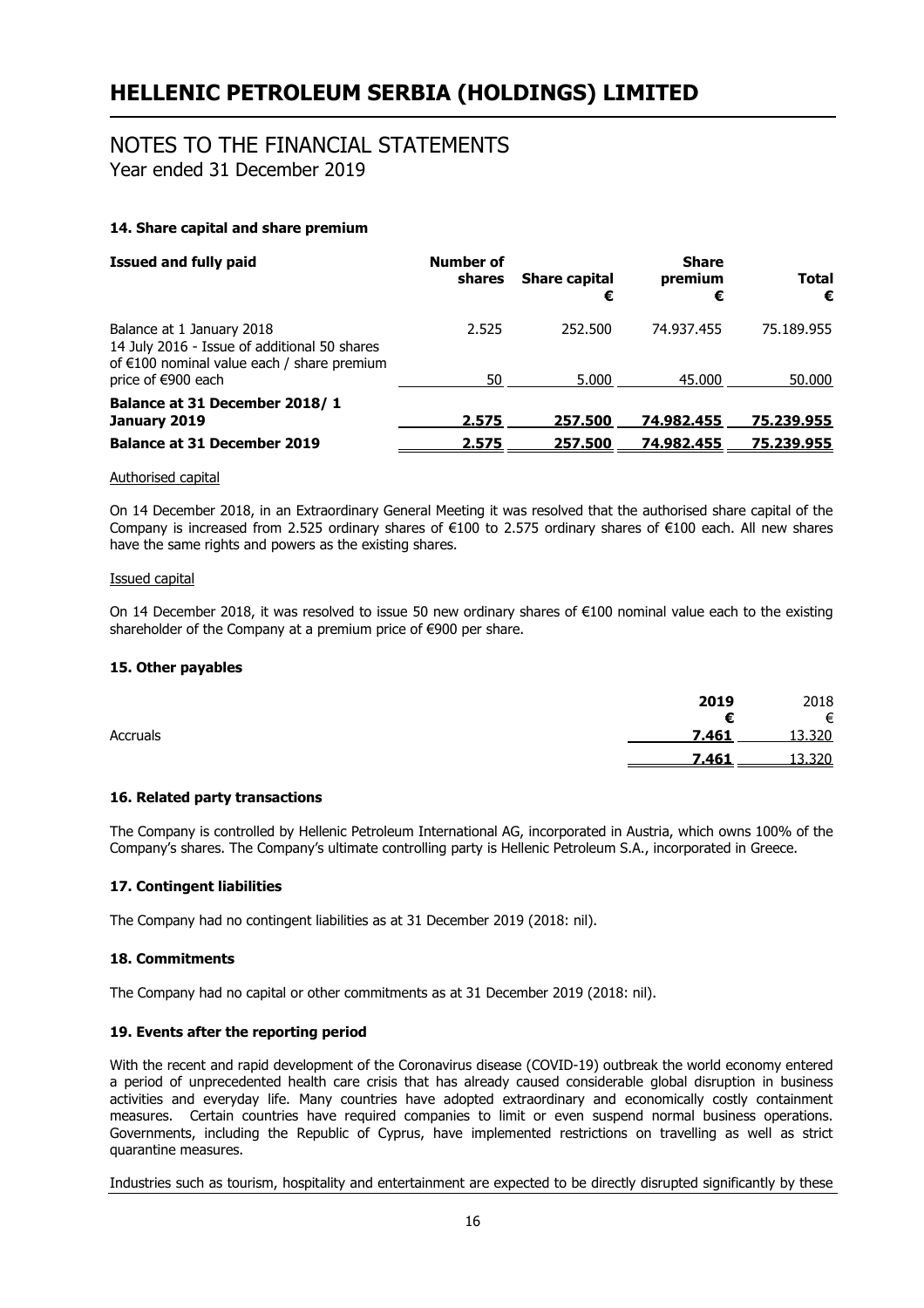# NOTES TO THE FINANCIAL STATEMENTS

Year ended 31 December 2019

# **14. Share capital and share premium**

| <b>Issued and fully paid</b>                                                                                              | <b>Number of</b><br>shares | <b>Share capital</b><br>€ | <b>Share</b><br>premium<br>€ | <b>Total</b><br>€ |
|---------------------------------------------------------------------------------------------------------------------------|----------------------------|---------------------------|------------------------------|-------------------|
| Balance at 1 January 2018<br>14 July 2016 - Issue of additional 50 shares<br>of $€100$ nominal value each / share premium | 2.525                      | 252.500                   | 74.937.455                   | 75.189.955        |
| price of €900 each                                                                                                        | 50                         | 5.000                     | 45.000                       | 50.000            |
| Balance at 31 December 2018/1<br>January 2019                                                                             | 2.575                      | 257.500                   | 74.982.455                   | 75,239,955        |
| <b>Balance at 31 December 2019</b>                                                                                        | 2.575                      | 257.500                   | 74.982.455                   | 75.239.955        |

#### Authorised capital

On 14 December 2018, in an Extraordinary General Meeting it was resolved that the authorised share capital of the Company is increased from 2.525 ordinary shares of €100 to 2.575 ordinary shares of €100 each. All new shares have the same rights and powers as the existing shares.

#### Issued capital

On 14 December 2018, it was resolved to issue 50 new ordinary shares of €100 nominal value each to the existing shareholder of the Company at a premium price of €900 per share.

## **15. Other payables**

|          | 2019  | 2018   |
|----------|-------|--------|
|          | €     | €      |
| Accruals | 7.461 | 13.320 |
|          | 7.461 | 13.320 |

## **16. Related party transactions**

The Company is controlled by Hellenic Petroleum International AG, incorporated in Austria, which owns 100% of the Company's shares. The Company's ultimate controlling party is Hellenic Petroleum S.A., incorporated in Greece.

## **17. Contingent liabilities**

The Company had no contingent liabilities as at 31 December 2019 (2018: nil).

## **18. Commitments**

The Company had no capital or other commitments as at 31 December 2019 (2018: nil).

## **19. Events after the reporting period**

With the recent and rapid development of the Coronavirus disease (COVID-19) outbreak the world economy entered a period of unprecedented health care crisis that has already caused considerable global disruption in business activities and everyday life. Many countries have adopted extraordinary and economically costly containment measures. Certain countries have required companies to limit or even suspend normal business operations. Governments, including the Republic of Cyprus, have implemented restrictions on travelling as well as strict quarantine measures.

Industries such as tourism, hospitality and entertainment are expected to be directly disrupted significantly by these